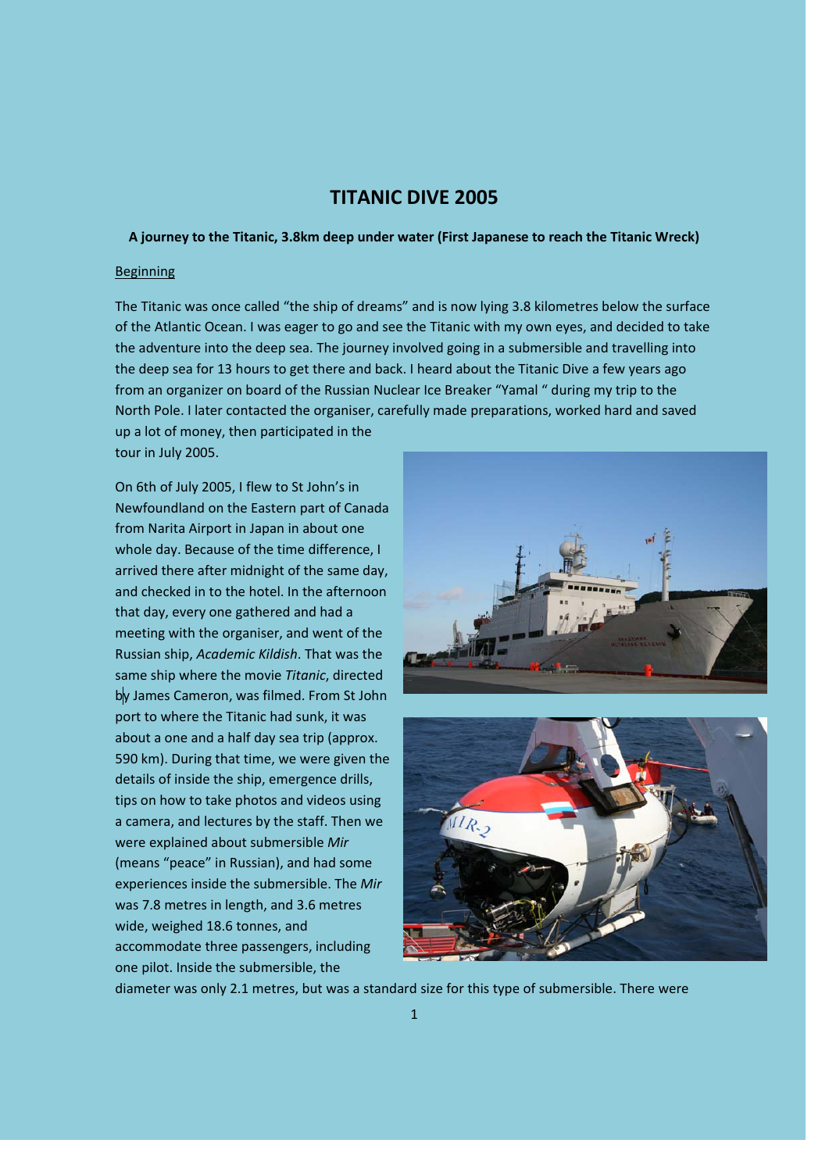# **TITANIC DIVE 2005**

## **A journey to the Titanic, 3.8km deep under water (First Japanese to reach the Titanic Wreck)**

#### **Beginning**

The Titanic was once called "the ship of dreams" and is now lying 3.8 kilometres below the surface of the Atlantic Ocean. I was eager to go and see the Titanic with my own eyes, and decided to take the adventure into the deep sea. The journey involved going in a submersible and travelling into the deep sea for 13 hours to get there and back. I heard about the Titanic Dive a few years ago from an organizer on board of the Russian Nuclear Ice Breaker "Yamal " during my trip to the North Pole. I later contacted the organiser, carefully made preparations, worked hard and saved up a lot of money, then participated in the

tour in July 2005.

On 6th of July 2005, I flew to St John's in Newfoundland on the Eastern part of Canada from Narita Airport in Japan in about one whole day. Because of the time difference, I arrived there after midnight of the same day, and checked in to the hotel. In the afternoon that day, every one gathered and had a meeting with the organiser, and went of the Russian ship, *Academic Kildish*. That was the same ship where the movie *Titanic*, directed by James Cameron, was filmed. From St John port to where the Titanic had sunk, it was about a one and a half day sea trip (approx. 590 km). During that time, we were given the details of inside the ship, emergence drills, tips on how to take photos and videos using a camera, and lectures by the staff. Then we were explained about submersible *Mir* (means "peace" in Russian), and had some experiences inside the submersible. The *Mir* was 7.8 metres in length, and 3.6 metres wide, weighed 18.6 tonnes, and accommodate three passengers, including one pilot. Inside the submersible, the





diameter was only 2.1 metres, but was a standard size for this type of submersible. There were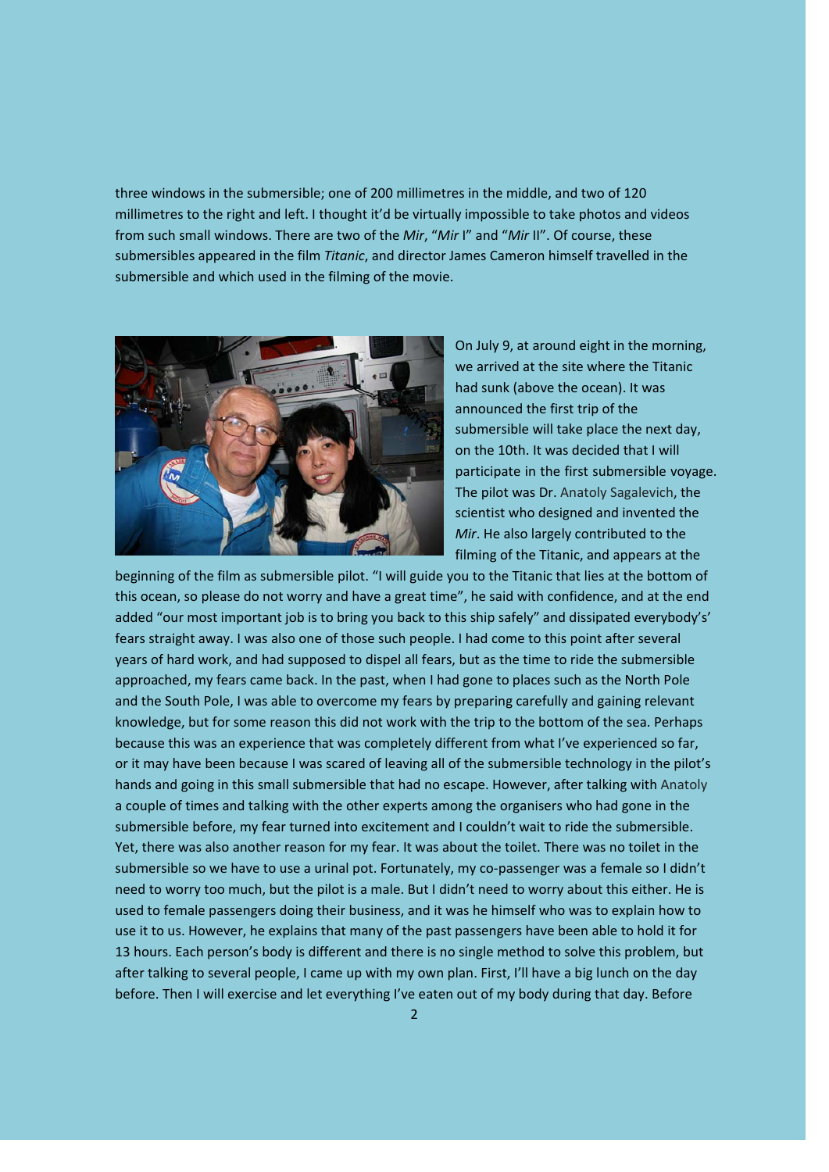three windows in the submersible; one of 200 millimetres in the middle, and two of 120 millimetres to the right and left. I thought it'd be virtually impossible to take photos and videos from such small windows. There are two of the *Mir*, "*Mir* I" and "*Mir* II". Of course, these submersibles appeared in the film *Titanic*, and director James Cameron himself travelled in the submersible and which used in the filming of the movie.



On July 9, at around eight in the morning, we arrived at the site where the Titanic had sunk (above the ocean). It was announced the first trip of the submersible will take place the next day, on the 10th. It was decided that I will participate in the first submersible voyage. The pilot was Dr. Anatoly Sagalevich, the scientist who designed and invented the *Mir*. He also largely contributed to the filming of the Titanic, and appears at the

beginning of the film as submersible pilot. "I will guide you to the Titanic that lies at the bottom of this ocean, so please do not worry and have a great time", he said with confidence, and at the end added "our most important job is to bring you back to this ship safely" and dissipated everybody's' fears straight away. I was also one of those such people. I had come to this point after several years of hard work, and had supposed to dispel all fears, but as the time to ride the submersible approached, my fears came back. In the past, when I had gone to places such as the North Pole and the South Pole, I was able to overcome my fears by preparing carefully and gaining relevant knowledge, but for some reason this did not work with the trip to the bottom of the sea. Perhaps because this was an experience that was completely different from what I've experienced so far, or it may have been because I was scared of leaving all of the submersible technology in the pilot's hands and going in this small submersible that had no escape. However, after talking with Anatoly a couple of times and talking with the other experts among the organisers who had gone in the submersible before, my fear turned into excitement and I couldn't wait to ride the submersible. Yet, there was also another reason for my fear. It was about the toilet. There was no toilet in the submersible so we have to use a urinal pot. Fortunately, my co-passenger was a female so I didn't need to worry too much, but the pilot is a male. But I didn't need to worry about this either. He is used to female passengers doing their business, and it was he himself who was to explain how to use it to us. However, he explains that many of the past passengers have been able to hold it for 13 hours. Each person's body is different and there is no single method to solve this problem, but after talking to several people, I came up with my own plan. First, I'll have a big lunch on the day before. Then I will exercise and let everything I've eaten out of my body during that day. Before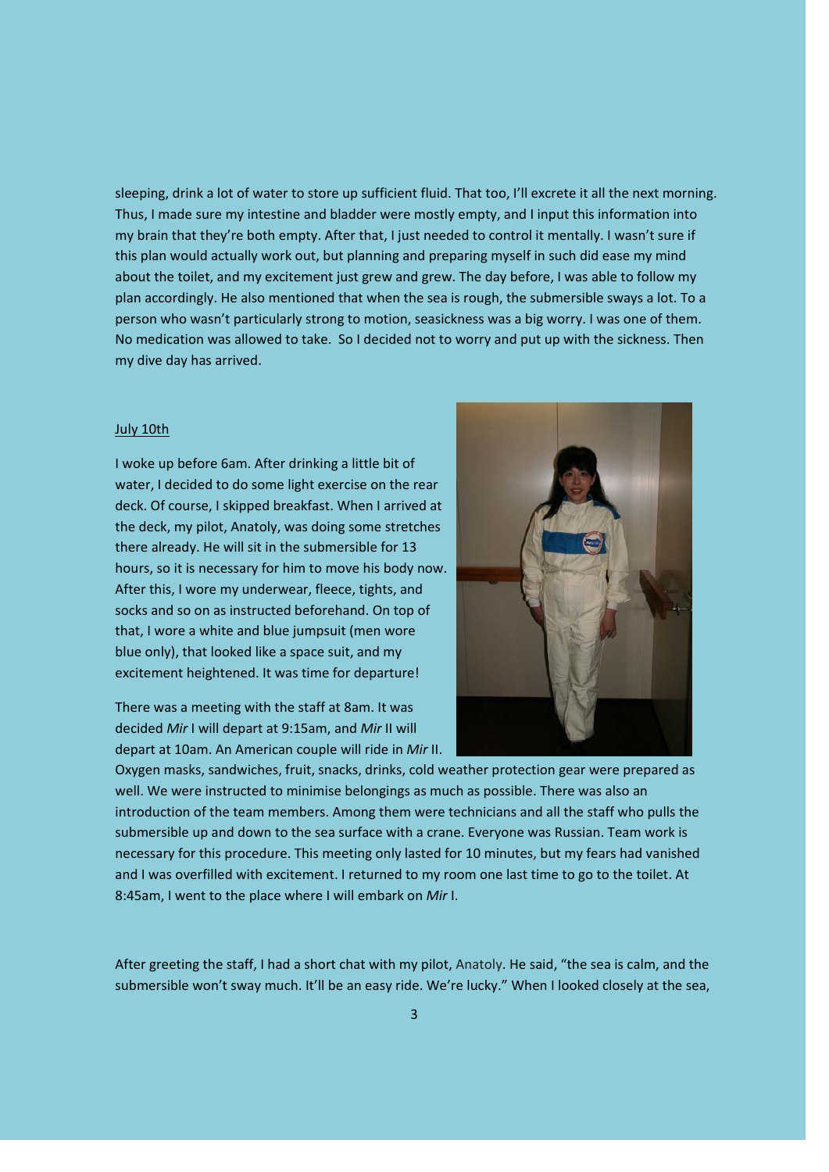sleeping, drink a lot of water to store up sufficient fluid. That too, I'll excrete it all the next morning. Thus, I made sure my intestine and bladder were mostly empty, and I input this information into my brain that they're both empty. After that, I just needed to control it mentally. I wasn't sure if this plan would actually work out, but planning and preparing myself in such did ease my mind about the toilet, and my excitement just grew and grew. The day before, I was able to follow my plan accordingly. He also mentioned that when the sea is rough, the submersible sways a lot. To a person who wasn't particularly strong to motion, seasickness was a big worry. I was one of them. No medication was allowed to take. So I decided not to worry and put up with the sickness. Then my dive day has arrived.

#### July 10th

I woke up before 6am. After drinking a little bit of water, I decided to do some light exercise on the rear deck. Of course, I skipped breakfast. When I arrived at the deck, my pilot, Anatoly, was doing some stretches there already. He will sit in the submersible for 13 hours, so it is necessary for him to move his body now. After this, I wore my underwear, fleece, tights, and socks and so on as instructed beforehand. On top of that, I wore a white and blue jumpsuit (men wore blue only), that looked like a space suit, and my excitement heightened. It was time for departure!

There was a meeting with the staff at 8am. It was decided *Mir* I will depart at 9:15am, and *Mir* II will depart at 10am. An American couple will ride in *Mir* II.



Oxygen masks, sandwiches, fruit, snacks, drinks, cold weather protection gear were prepared as well. We were instructed to minimise belongings as much as possible. There was also an introduction of the team members. Among them were technicians and all the staff who pulls the submersible up and down to the sea surface with a crane. Everyone was Russian. Team work is necessary for this procedure. This meeting only lasted for 10 minutes, but my fears had vanished and I was overfilled with excitement. I returned to my room one last time to go to the toilet. At 8:45am, I went to the place where I will embark on *Mir* I.

After greeting the staff, I had a short chat with my pilot, Anatoly. He said, "the sea is calm, and the submersible won't sway much. It'll be an easy ride. We're lucky." When I looked closely at the sea,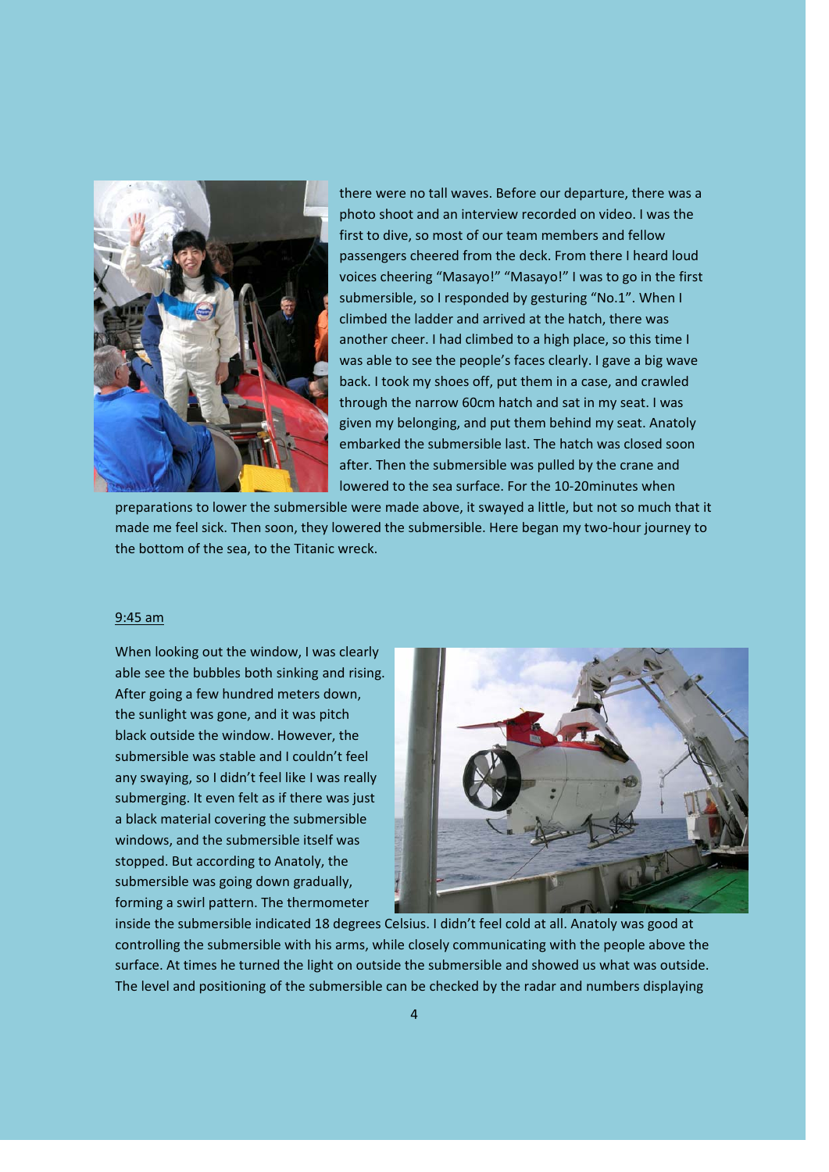

there were no tall waves. Before our departure, there was a photo shoot and an interview recorded on video. I was the first to dive, so most of our team members and fellow passengers cheered from the deck. From there I heard loud voices cheering "Masayo!" "Masayo!" I was to go in the first submersible, so I responded by gesturing "No.1". When I climbed the ladder and arrived at the hatch, there was another cheer. I had climbed to a high place, so this time I was able to see the people's faces clearly. I gave a big wave back. I took my shoes off, put them in a case, and crawled through the narrow 60cm hatch and sat in my seat. I was given my belonging, and put them behind my seat. Anatoly embarked the submersible last. The hatch was closed soon after. Then the submersible was pulled by the crane and lowered to the sea surface. For the 10‐20minutes when

preparations to lower the submersible were made above, it swayed a little, but not so much that it made me feel sick. Then soon, they lowered the submersible. Here began my two-hour journey to the bottom of the sea, to the Titanic wreck.

## 9:45 am

When looking out the window, I was clearly able see the bubbles both sinking and rising. After going a few hundred meters down, the sunlight was gone, and it was pitch black outside the window. However, the submersible was stable and I couldn't feel any swaying, so I didn't feel like I was really submerging. It even felt as if there was just a black material covering the submersible windows, and the submersible itself was stopped. But according to Anatoly, the submersible was going down gradually, forming a swirl pattern. The thermometer



inside the submersible indicated 18 degrees Celsius. I didn't feel cold at all. Anatoly was good at controlling the submersible with his arms, while closely communicating with the people above the surface. At times he turned the light on outside the submersible and showed us what was outside. The level and positioning of the submersible can be checked by the radar and numbers displaying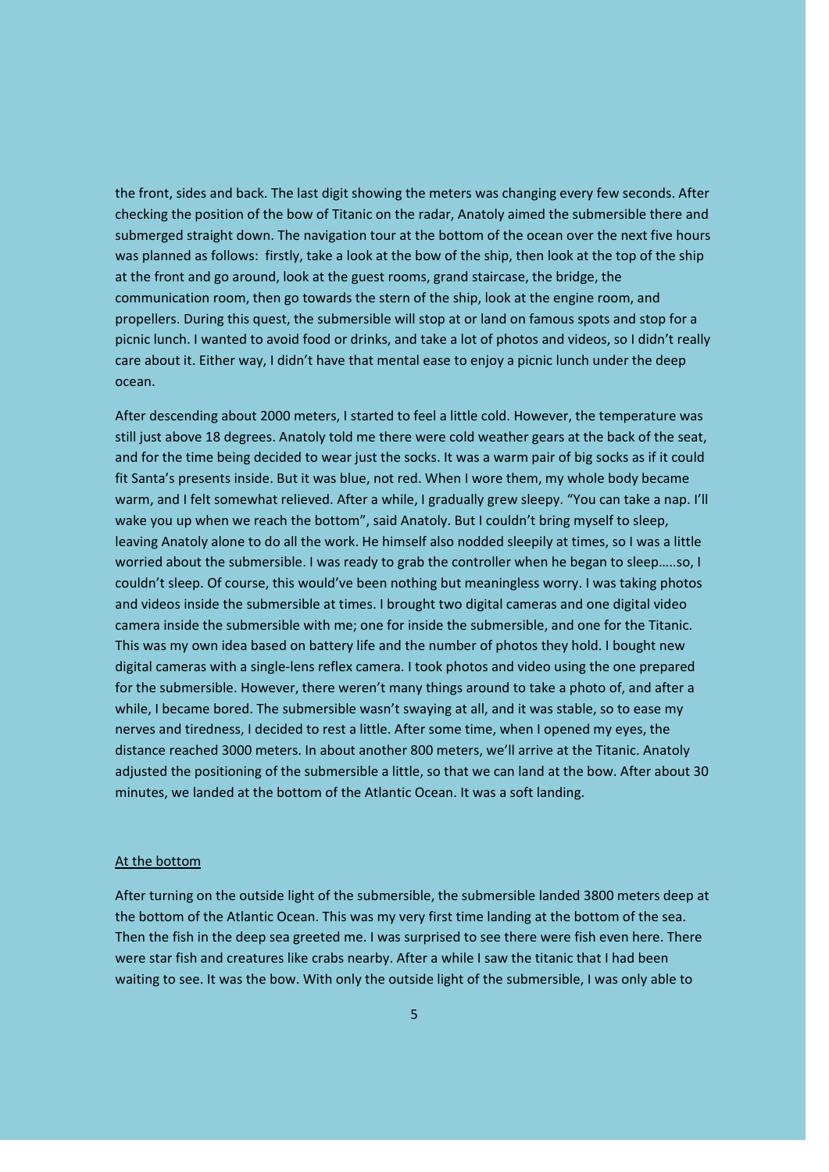the front, sides and back. The last digit showing the meters was changing every few seconds. After checking the position of the bow of Titanic on the radar, Anatoly aimed the submersible there and submerged straight down. The navigation tour at the bottom of the ocean over the next five hours was planned as follows: firstly, take a look at the bow of the ship, then look at the top of the ship at the front and go around, look at the guest rooms, grand staircase, the bridge, the communication room, then go towards the stern of the ship, look at the engine room, and propellers. During this quest, the submersible will stop at or land on famous spots and stop for a picnic lunch. I wanted to avoid food or drinks, and take a lot of photos and videos, so I didn't really care about it. Either way, I didn't have that mental ease to enjoy a picnic lunch under the deep ocean.

After descending about 2000 meters, I started to feel a little cold. However, the temperature was still just above 18 degrees. Anatoly told me there were cold weather gears at the back of the seat, and for the time being decided to wear just the socks. It was a warm pair of big socks as if it could fit Santa's presents inside. But it was blue, not red. When I wore them, my whole body became warm, and I felt somewhat relieved. After a while, I gradually grew sleepy. "You can take a nap. I'll wake you up when we reach the bottom", said Anatoly. But I couldn't bring myself to sleep, leaving Anatoly alone to do all the work. He himself also nodded sleepily at times, so I was a little worried about the submersible. I was ready to grab the controller when he began to sleep…..so, I couldn't sleep. Of course, this would've been nothing but meaningless worry. I was taking photos and videos inside the submersible at times. I brought two digital cameras and one digital video camera inside the submersible with me; one for inside the submersible, and one for the Titanic. This was my own idea based on battery life and the number of photos they hold. I bought new digital cameras with a single‐lens reflex camera. I took photos and video using the one prepared for the submersible. However, there weren't many things around to take a photo of, and after a while, I became bored. The submersible wasn't swaying at all, and it was stable, so to ease my nerves and tiredness, I decided to rest a little. After some time, when I opened my eyes, the distance reached 3000 meters. In about another 800 meters, we'll arrive at the Titanic. Anatoly adjusted the positioning of the submersible a little, so that we can land at the bow. After about 30 minutes, we landed at the bottom of the Atlantic Ocean. It was a soft landing.

# At the bottom

After turning on the outside light of the submersible, the submersible landed 3800 meters deep at the bottom of the Atlantic Ocean. This was my very first time landing at the bottom of the sea. Then the fish in the deep sea greeted me. I was surprised to see there were fish even here. There were star fish and creatures like crabs nearby. After a while I saw the titanic that I had been waiting to see. It was the bow. With only the outside light of the submersible, I was only able to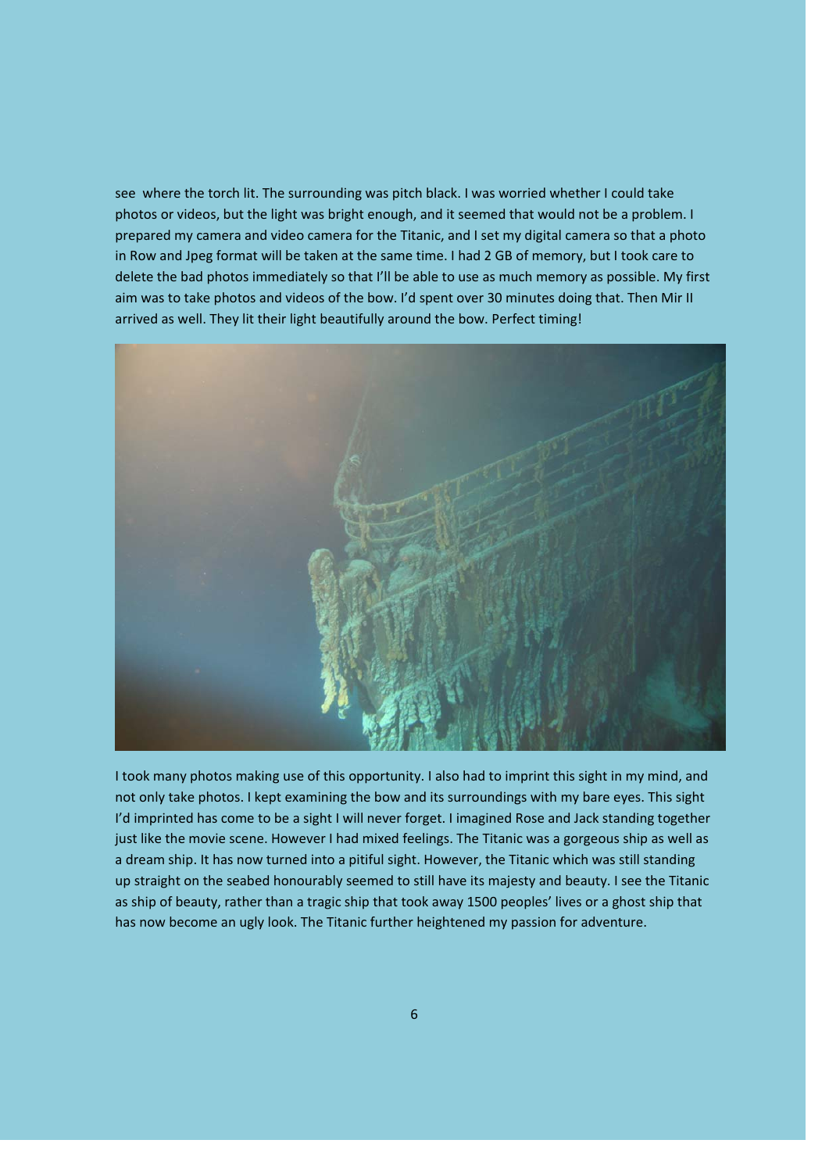see where the torch lit. The surrounding was pitch black. I was worried whether I could take photos or videos, but the light was bright enough, and it seemed that would not be a problem. I prepared my camera and video camera for the Titanic, and I set my digital camera so that a photo in Row and Jpeg format will be taken at the same time. I had 2 GB of memory, but I took care to delete the bad photos immediately so that I'll be able to use as much memory as possible. My first aim was to take photos and videos of the bow. I'd spent over 30 minutes doing that. Then Mir II arrived as well. They lit their light beautifully around the bow. Perfect timing!



I took many photos making use of this opportunity. I also had to imprint this sight in my mind, and not only take photos. I kept examining the bow and its surroundings with my bare eyes. This sight I'd imprinted has come to be a sight I will never forget. I imagined Rose and Jack standing together just like the movie scene. However I had mixed feelings. The Titanic was a gorgeous ship as well as a dream ship. It has now turned into a pitiful sight. However, the Titanic which was still standing up straight on the seabed honourably seemed to still have its majesty and beauty. I see the Titanic as ship of beauty, rather than a tragic ship that took away 1500 peoples' lives or a ghost ship that has now become an ugly look. The Titanic further heightened my passion for adventure.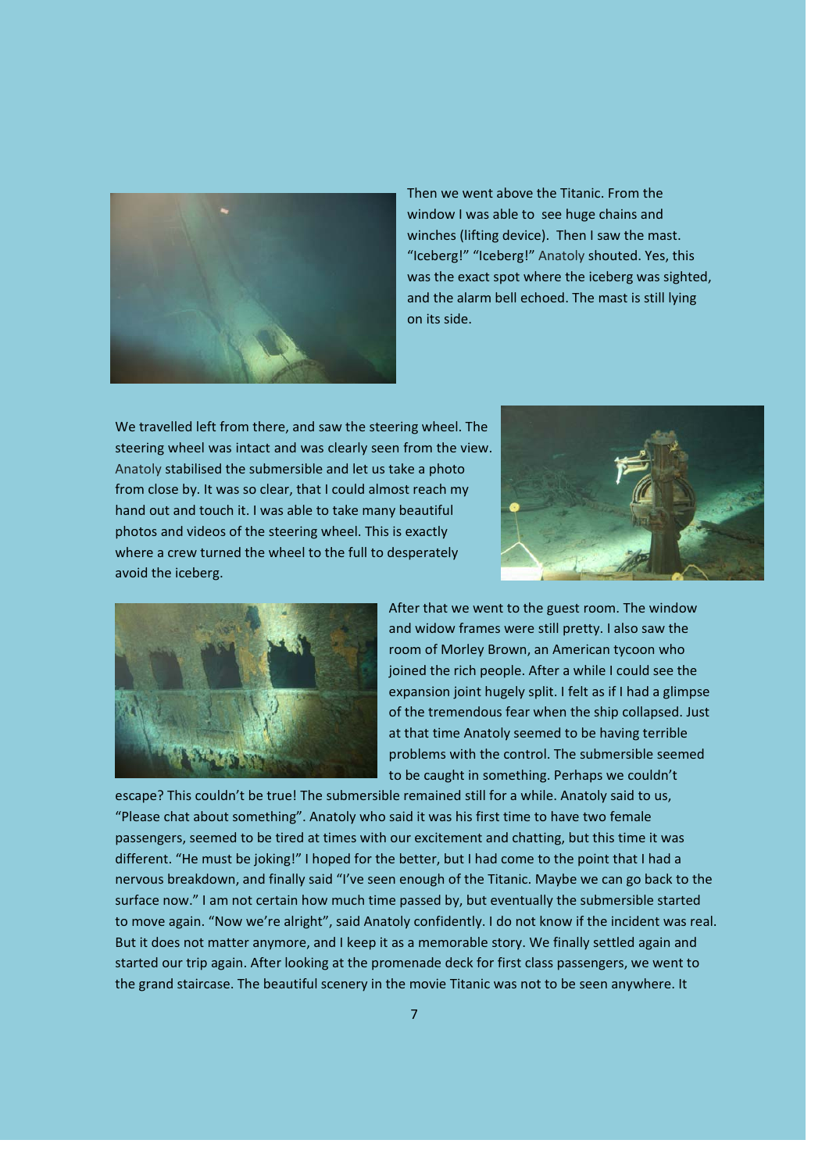

Then we went above the Titanic. From the window I was able to see huge chains and winches (lifting device). Then I saw the mast. "Iceberg!" "Iceberg!" Anatoly shouted. Yes, this was the exact spot where the iceberg was sighted, and the alarm bell echoed. The mast is still lying on its side.

We travelled left from there, and saw the steering wheel. The steering wheel was intact and was clearly seen from the view. Anatoly stabilised the submersible and let us take a photo from close by. It was so clear, that I could almost reach my hand out and touch it. I was able to take many beautiful photos and videos of the steering wheel. This is exactly where a crew turned the wheel to the full to desperately avoid the iceberg.





After that we went to the guest room. The window and widow frames were still pretty. I also saw the room of Morley Brown, an American tycoon who joined the rich people. After a while I could see the expansion joint hugely split. I felt as if I had a glimpse of the tremendous fear when the ship collapsed. Just at that time Anatoly seemed to be having terrible problems with the control. The submersible seemed to be caught in something. Perhaps we couldn't

escape? This couldn't be true! The submersible remained still for a while. Anatoly said to us, "Please chat about something". Anatoly who said it was his first time to have two female passengers, seemed to be tired at times with our excitement and chatting, but this time it was different. "He must be joking!" I hoped for the better, but I had come to the point that I had a nervous breakdown, and finally said "I've seen enough of the Titanic. Maybe we can go back to the surface now." I am not certain how much time passed by, but eventually the submersible started to move again. "Now we're alright", said Anatoly confidently. I do not know if the incident was real. But it does not matter anymore, and I keep it as a memorable story. We finally settled again and started our trip again. After looking at the promenade deck for first class passengers, we went to the grand staircase. The beautiful scenery in the movie Titanic was not to be seen anywhere. It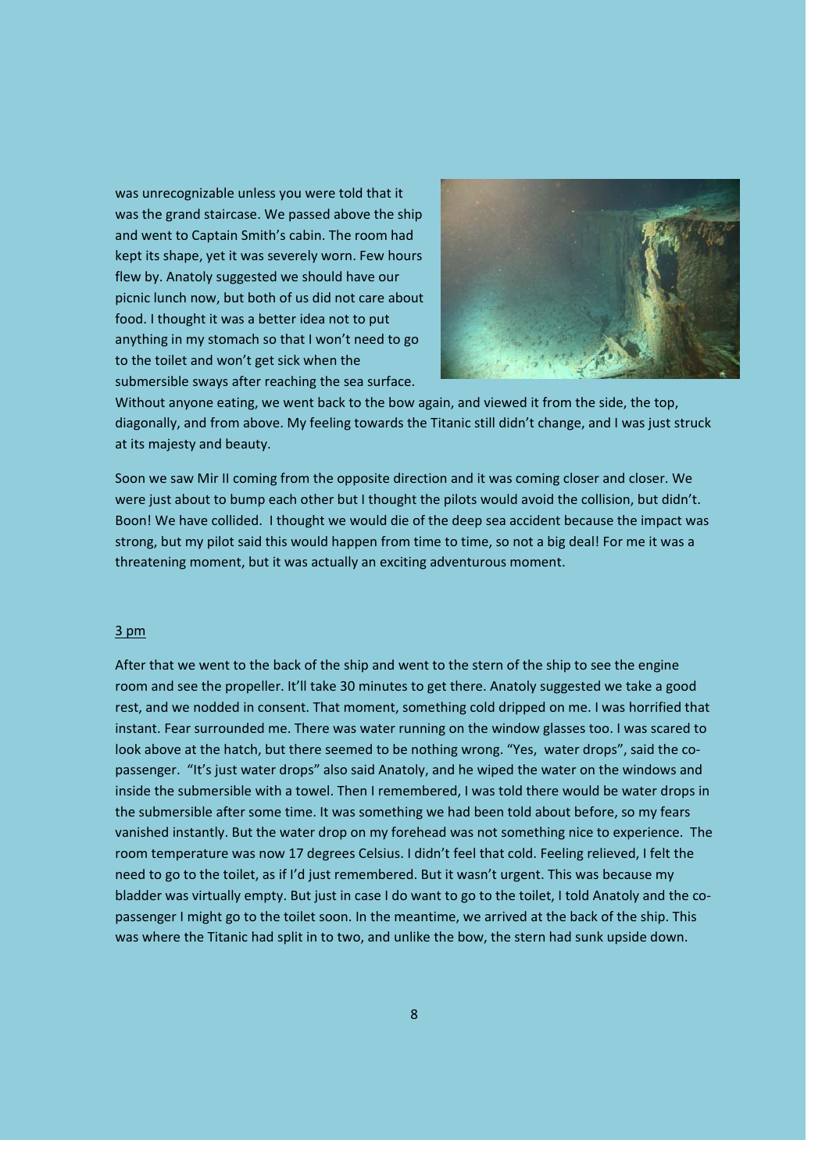was unrecognizable unless you were told that it was the grand staircase. We passed above the ship and went to Captain Smith's cabin. The room had kept its shape, yet it was severely worn. Few hours flew by. Anatoly suggested we should have our picnic lunch now, but both of us did not care about food. I thought it was a better idea not to put anything in my stomach so that I won't need to go to the toilet and won't get sick when the submersible sways after reaching the sea surface.



Without anyone eating, we went back to the bow again, and viewed it from the side, the top, diagonally, and from above. My feeling towards the Titanic still didn't change, and I was just struck at its majesty and beauty.

Soon we saw Mir II coming from the opposite direction and it was coming closer and closer. We were just about to bump each other but I thought the pilots would avoid the collision, but didn't. Boon! We have collided. I thought we would die of the deep sea accident because the impact was strong, but my pilot said this would happen from time to time, so not a big deal! For me it was a threatening moment, but it was actually an exciting adventurous moment.

# 3 pm

After that we went to the back of the ship and went to the stern of the ship to see the engine room and see the propeller. It'll take 30 minutes to get there. Anatoly suggested we take a good rest, and we nodded in consent. That moment, something cold dripped on me. I was horrified that instant. Fear surrounded me. There was water running on the window glasses too. I was scared to look above at the hatch, but there seemed to be nothing wrong. "Yes, water drops", said the copassenger. "It's just water drops" also said Anatoly, and he wiped the water on the windows and inside the submersible with a towel. Then I remembered, I was told there would be water drops in the submersible after some time. It was something we had been told about before, so my fears vanished instantly. But the water drop on my forehead was not something nice to experience. The room temperature was now 17 degrees Celsius. I didn't feel that cold. Feeling relieved, I felt the need to go to the toilet, as if I'd just remembered. But it wasn't urgent. This was because my bladder was virtually empty. But just in case I do want to go to the toilet, I told Anatoly and the co‐ passenger I might go to the toilet soon. In the meantime, we arrived at the back of the ship. This was where the Titanic had split in to two, and unlike the bow, the stern had sunk upside down.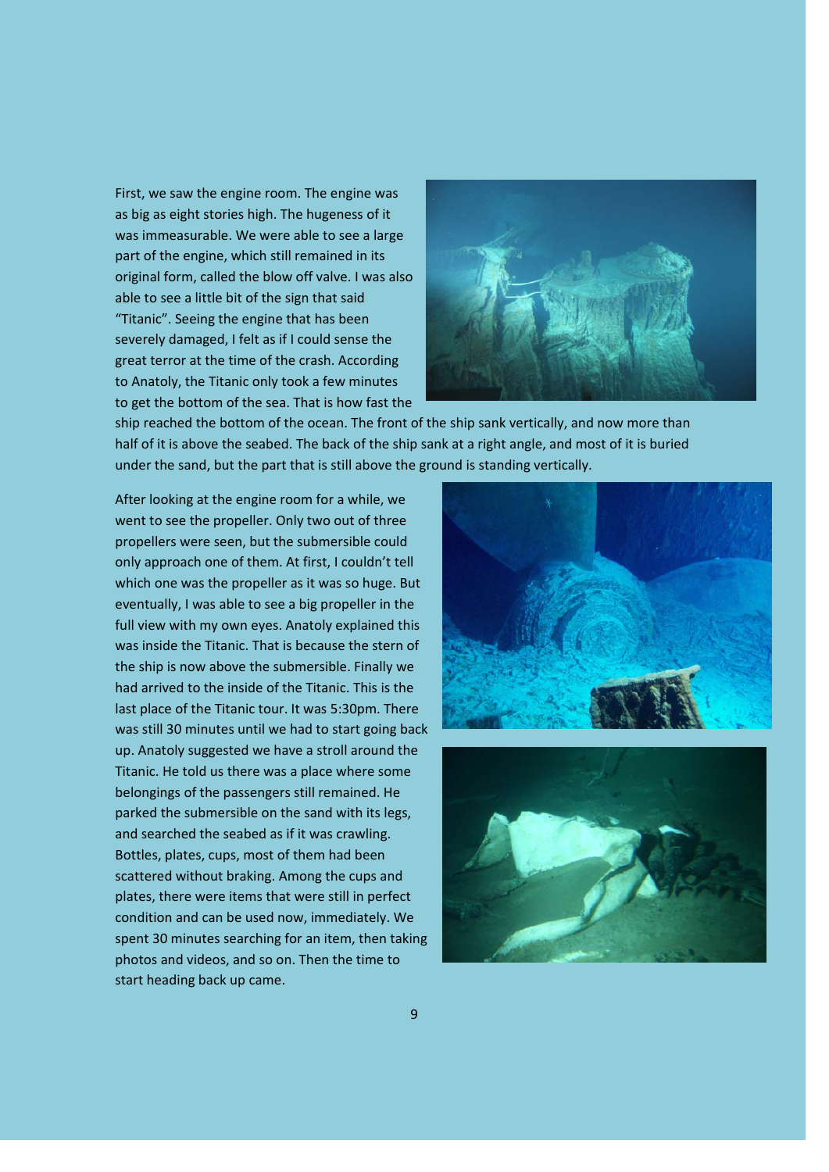First, we saw the engine room. The engine was as big as eight stories high. The hugeness of it was immeasurable. We were able to see a large part of the engine, which still remained in its original form, called the blow off valve. I was also able to see a little bit of the sign that said "Titanic". Seeing the engine that has been severely damaged, I felt as if I could sense the great terror at the time of the crash. According to Anatoly, the Titanic only took a few minutes to get the bottom of the sea. That is how fast the



ship reached the bottom of the ocean. The front of the ship sank vertically, and now more than half of it is above the seabed. The back of the ship sank at a right angle, and most of it is buried under the sand, but the part that is still above the ground is standing vertically.

After looking at the engine room for a while, we went to see the propeller. Only two out of three propellers were seen, but the submersible could only approach one of them. At first, I couldn't tell which one was the propeller as it was so huge. But eventually, I was able to see a big propeller in the full view with my own eyes. Anatoly explained this was inside the Titanic. That is because the stern of the ship is now above the submersible. Finally we had arrived to the inside of the Titanic. This is the last place of the Titanic tour. It was 5:30pm. There was still 30 minutes until we had to start going back up. Anatoly suggested we have a stroll around the Titanic. He told us there was a place where some belongings of the passengers still remained. He parked the submersible on the sand with its legs, and searched the seabed as if it was crawling. Bottles, plates, cups, most of them had been scattered without braking. Among the cups and plates, there were items that were still in perfect condition and can be used now, immediately. We spent 30 minutes searching for an item, then taking photos and videos, and so on. Then the time to start heading back up came.



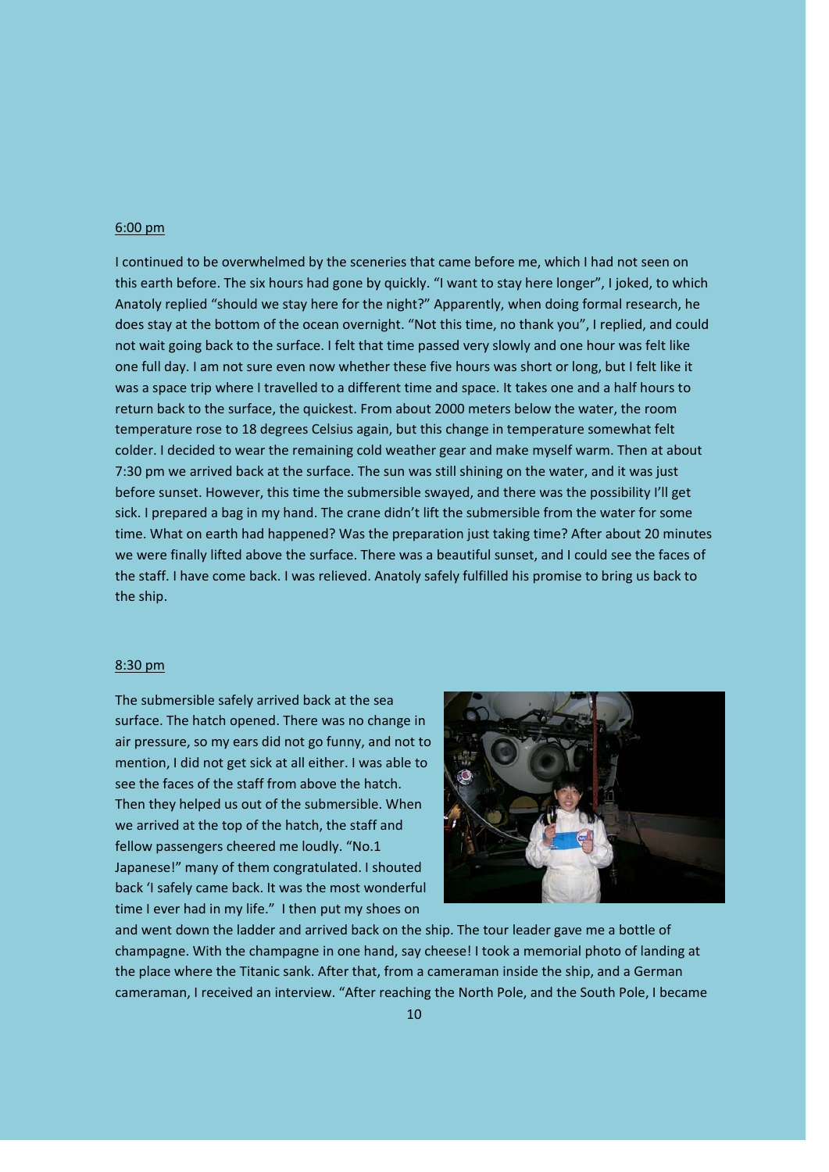## 6:00 pm

I continued to be overwhelmed by the sceneries that came before me, which I had not seen on this earth before. The six hours had gone by quickly. "I want to stay here longer", I joked, to which Anatoly replied "should we stay here for the night?" Apparently, when doing formal research, he does stay at the bottom of the ocean overnight. "Not this time, no thank you", I replied, and could not wait going back to the surface. I felt that time passed very slowly and one hour was felt like one full day. I am not sure even now whether these five hours was short or long, but I felt like it was a space trip where I travelled to a different time and space. It takes one and a half hours to return back to the surface, the quickest. From about 2000 meters below the water, the room temperature rose to 18 degrees Celsius again, but this change in temperature somewhat felt colder. I decided to wear the remaining cold weather gear and make myself warm. Then at about 7:30 pm we arrived back at the surface. The sun was still shining on the water, and it was just before sunset. However, this time the submersible swayed, and there was the possibility I'll get sick. I prepared a bag in my hand. The crane didn't lift the submersible from the water for some time. What on earth had happened? Was the preparation just taking time? After about 20 minutes we were finally lifted above the surface. There was a beautiful sunset, and I could see the faces of the staff. I have come back. I was relieved. Anatoly safely fulfilled his promise to bring us back to the ship.

#### 8:30 pm

The submersible safely arrived back at the sea surface. The hatch opened. There was no change in air pressure, so my ears did not go funny, and not to mention, I did not get sick at all either. I was able to see the faces of the staff from above the hatch. Then they helped us out of the submersible. When we arrived at the top of the hatch, the staff and fellow passengers cheered me loudly. "No.1 Japanese!" many of them congratulated. I shouted back 'I safely came back. It was the most wonderful time I ever had in my life." I then put my shoes on



and went down the ladder and arrived back on the ship. The tour leader gave me a bottle of champagne. With the champagne in one hand, say cheese! I took a memorial photo of landing at the place where the Titanic sank. After that, from a cameraman inside the ship, and a German cameraman, I received an interview. "After reaching the North Pole, and the South Pole, I became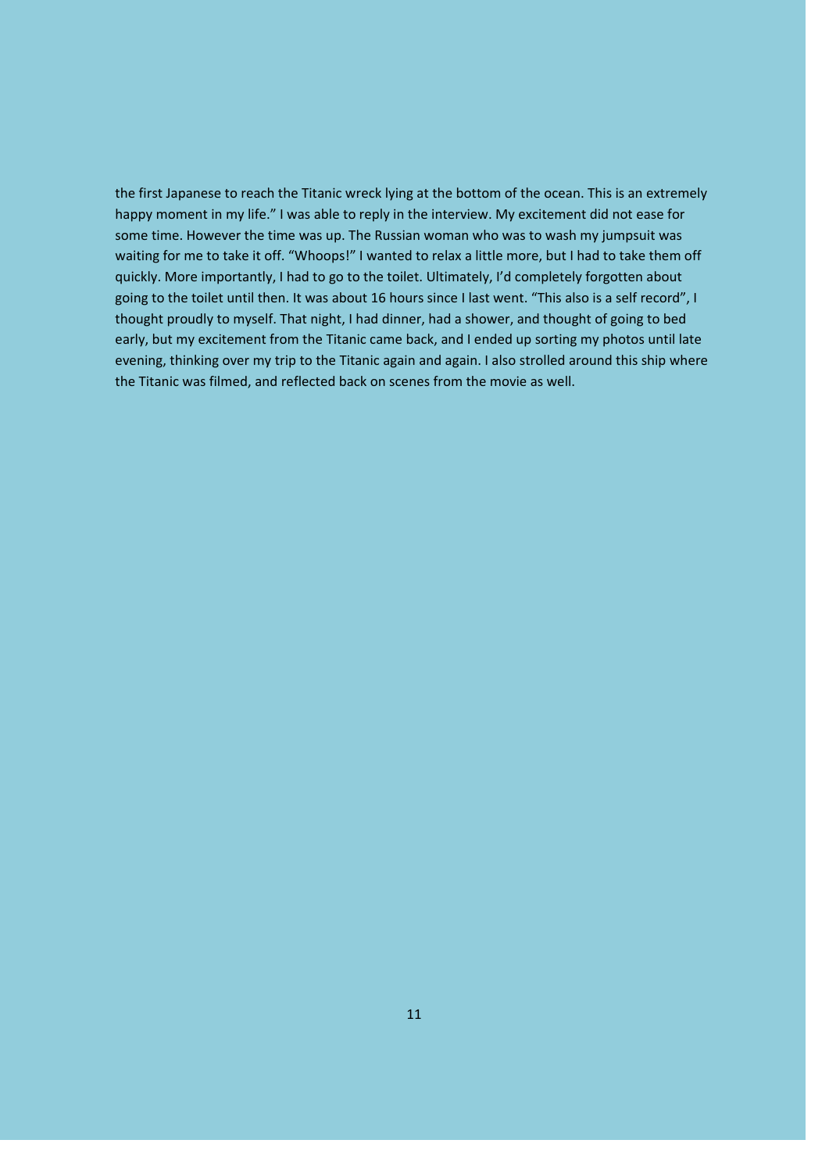the first Japanese to reach the Titanic wreck lying at the bottom of the ocean. This is an extremely happy moment in my life." I was able to reply in the interview. My excitement did not ease for some time. However the time was up. The Russian woman who was to wash my jumpsuit was waiting for me to take it off. "Whoops!" I wanted to relax a little more, but I had to take them off quickly. More importantly, I had to go to the toilet. Ultimately, I'd completely forgotten about going to the toilet until then. It was about 16 hours since I last went. "This also is a self record", I thought proudly to myself. That night, I had dinner, had a shower, and thought of going to bed early, but my excitement from the Titanic came back, and I ended up sorting my photos until late evening, thinking over my trip to the Titanic again and again. I also strolled around this ship where the Titanic was filmed, and reflected back on scenes from the movie as well.